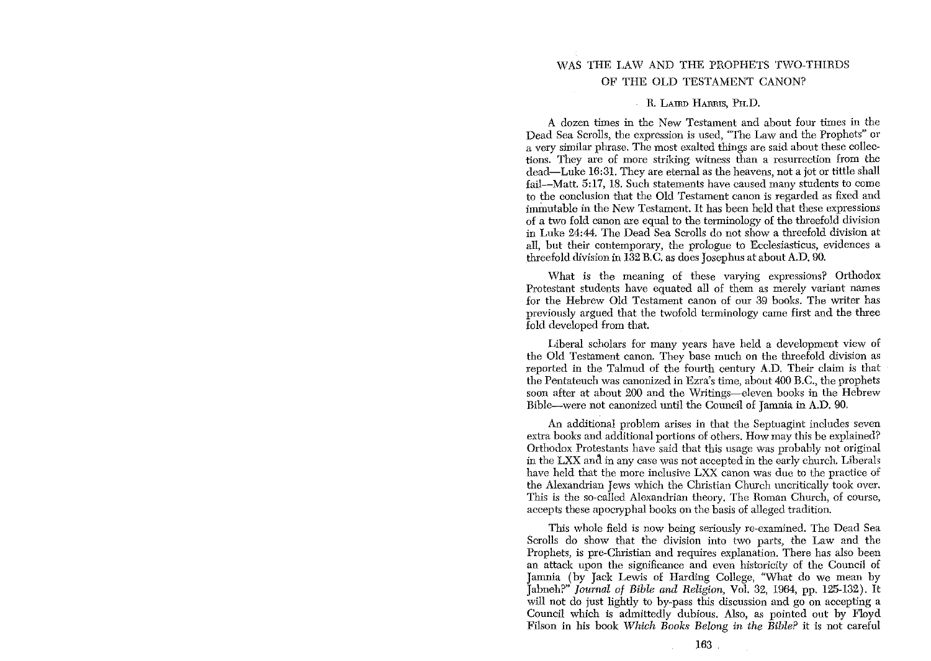## WAS THE LAW AND THE PROPHETS TWO-THIRDS OF THE OLD TESTAMENT CANON?

## R. LAIRD HARRIS, PH.D.

A dozen times in the New Testament and about four times in the Dead Sea Scrolls, the expression is used, "The Law and the Prophets" or a very similar phrase. The most exalted things are said about these collections. They are of more striking witness than a resurrection from the dead-Luke 16:31. They are eternal as the heavens, not a jot or tittle shall fail-Matt. 5:17, 18. Such statements have caused many students to come to the conclusion that the Old Testament canon is regarded as fixed and immutable in the New Testament. It has been held that these expressions of a two fold canon are equal to the terminology of the threefold division in Luke 24:44. The Dead Sea Serolls do not show a threefold division at **all, but their contemporary, the prologue to Ecclesiasticus, evidences a**  threefold division in 132 B.G as does Josephus at about A.D. 90.

What is the meaning of these varying expressions? Orthodox Protestant students have equated all of them as merely variant names for the Hebrew Old Testament canon of our 39 books. The writer has previously argued that the twofold terminology came first and the tbree fold developed from that.

Liberal scholars for many years have held a development view of the Old Testament canon. They base much on the threefold division as reported in the Talmud of the fourth century A.D. Their claim is that the Pentateuch was canonized in Ezra's time, about 400 B.G, the prophets soon after at about 200 and the Writings-eleven books in the Hebrew Bible-were not canonized until the Council of Jamnia in A.D. 90.

An additional problem arises in that the Septuagint includes seven extra books and additional portions of others. How may this be explained? Orthodox Protestants have said that this usage was probably not original in the LXX and in any case was not accepted in the early church. Liberals have held that the more inclusive LXX canon was due to the practice of the Alexandrian Jews which the Christian Church uncritically took over. This is the so-called Alexandrian theory. The Roman Church, of course, accepts these apocryphal books on the basis of alleged tradition.

This whole field is now being seriously re-examined. The Dead Sea Scrolls do show that the division into two parts, the Law and the Prophets, is pre-Christian and requires explanation. There has also been an attack upon the significance and even historicity of the Council of Jamnia (by Jack Lewis of Harding College, "What do we mean by Jabneh?" *Journal at Bible and Religion,* Vol. 32, 1964, pp. 125-132). It will *not* do just lightly *to* by-pass this discussion and go on accepting a Council which is admittedly dubious. Also, as pointed out by Floyd Filson in his book *Which Books Belong in the Bible?* it is not careful

 $\mathcal{L}_{\mathrm{eff}}$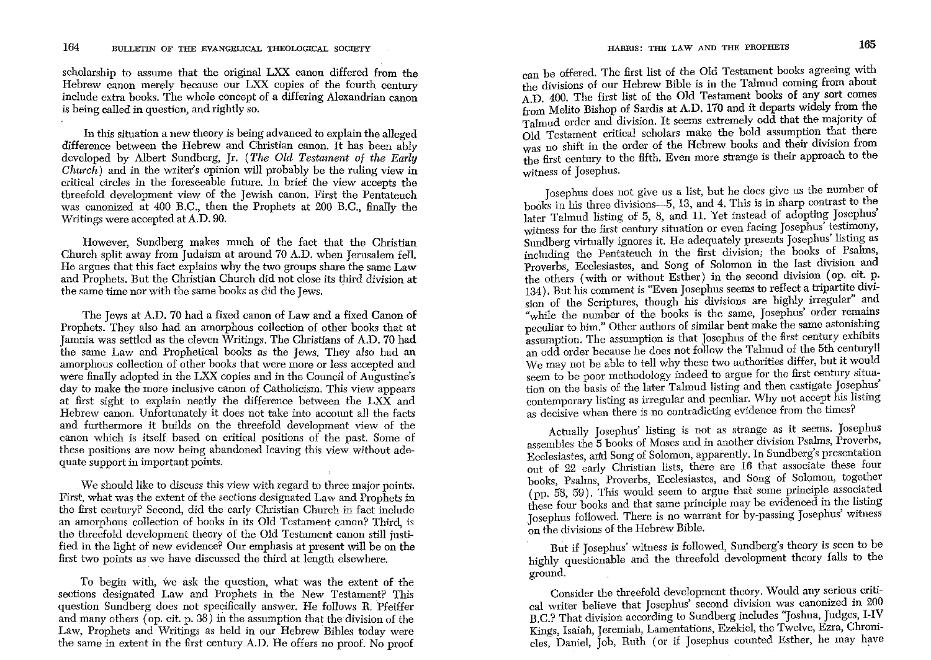scholarship to assume that the original LXX canon differed from the Hebrew canon merely because our LXX copies of the fourth century include extra books. The whole concept of a differing Alexandrian canon is being called in question, and rightly so.

In this situation a new theory is being advanced to explain the alleged difference between the Hebrew and Christian canon. It has been ably developed by Albert Sundberg, Jr. *(The Old Testament* of *the Early Church)* and in the writer's opinion will probably be the ruling view in critical circles in the foreseeable future. In brief the view accepts the threefold development view of the Jewish canon. First the Pentateuch was canonized at 400 B.C., then the Prophets at 200 B.C., finally the Writings were accepted at A.D. 90.

However, Sundberg makes much of the fact that the Christian Church split away from Judaism at around 70 A.D. when Jerusalem fell. He argues that this fact explains why the two groups share the same Law and Prophets. But the Christian Church did not close its third division at the same time nor with the same books as did the Jews.

The Jews at A.D. 70 had a fixed canon of Law and a fixed Canon of Prophets. They also had an amorphous collection of other books that at Jamnia was settled as the eleven Writings. The Christians of A.D. 70 had the same Law and Prophetical books as the Jews. They also had an amorphous collection of other books that were more or less accepted and were finally adopted in the LXX copies and in the Council of Augustine's day to make the more inclusive canon of Catholicism. This view appears at first sight to explain neatly the difference between the LXX and Hebrew canon. Unfortunately it does not take into account all the facts and furthermore it builds on the threefold development view of the canon which is itself based on critical positions of the past. Some of **these positions are now being abandoned leaving this view without ade**quate support in important points.

We should like to discuss this view with regard to three major points. First, what was the extent of the sections designated Law and Prophets in the first century? Second, did the early Christian Church in fact include an amorphous collection of books in its Old Testament canon? Third, is the threefold development theory of the Old Testament canon still justified in the light of new evidence? Our emphasis at present will be on the first two points as we have discussed the third at length elsewhere.

To begin with, we ask the question, what was the extent of the sections designated Law and Prophets in the New Testament? This question Sundberg does not specifically answer. He follows R. Pfeiffer and many others (op. cit. p. 38) in the assumption that the division of the Law, Prophets and Writings as held in our Hebrew Bibles today were the same in extent in the first century A.D. He offers no proof. No proof can be offered. The first list of the Old Testament books agreeing with the divisions of our Hebrew Bible is in the Talmud coming from about A.D. 400. The first list of the Old Testament books of any sort comes from Melito Bishop of Sardis at A.D. 170 and it departs widely from the Talmud order and division. It seems extremely odd that the majority of Old Testament critical scholars make the bold assumption that there was no shift in the order of the Hebrew books and their division from tbe first century to the fifth. Even more strange is their approach to the witness of Josephus.

Josephus does not give us a list, but he does give us the number of books in his three divisions-5, 13, and 4. This is in sharp contrast to the later Talmud listing of 5, 8, and 11. Yet instead of adopting Josephus' witness for the first century situation or even facing Josephus' testimony, Sundberg virtually ignores it. He adequately presents Josephus' listing as including the Pentateuch in the first division; the books of Psalms, proverbs, Ecclesiastes, and Song of Solomon in the last division and the others (with or without Esther) in the second division (op. cit. p. 134). But his comment is "Even Josephus seems to reflect a tripartite division of the Scriptures, though his divisions are highly irregular" and "while the number of the books is the same, Josephus' order remains peculiar to him." Other authors of similar bent make the same astonishing assumption. The assumption is that Josephus of the first century exhibits an odd order because he does not follow the Talmud of the 5th century!! We may not be able to tell why these two authorities differ, but it would seem to be poor methodology indeed to argue for the first century situation on the basis of the later Talmud listing and then castigate Josephus contemporary listing as irregular and peculiar. Why not accept his listing **as decisive when there is no contradicting evidence from the times?** 

Actually Josephus' listing is not as strange as it seems. Josephus assembles the 5 books of Moses and in another division Psalms, Proverbs, Ecclesiastes, arfd Song of Solomon, apparently. In Sundberg's presentation out of 22 early Christian lists, there are 16 that associate these four books, Psalms, Proverbs, Ecclesiastes, and Song of Solomon, together (pp. 58, 59). This would seem to argue that some principle associated these four books and that same principle may be evidenced in the listing Josephus followed. There is no warrant for by-passing Josephus' witness on the divisions of the Hebrew Bible.

But if Josephus' witness is followed, Sundberg's theory is seen to be highly questionable and the threefold development theory falls to the ground.

Consider the threefold development theory. Would any serious critical writer believe that Josephus' second division was canonized in 200 B.C.? That division according to Sundberg includes "Joshua, Judges, I-IV **Kings, Isaiah, Jeremiah, Lamentations, Ezekiel, the Twelve, Ezra, Chroni**cles, Daniel, Job, Ruth (or if Josephus counted Esther, he may have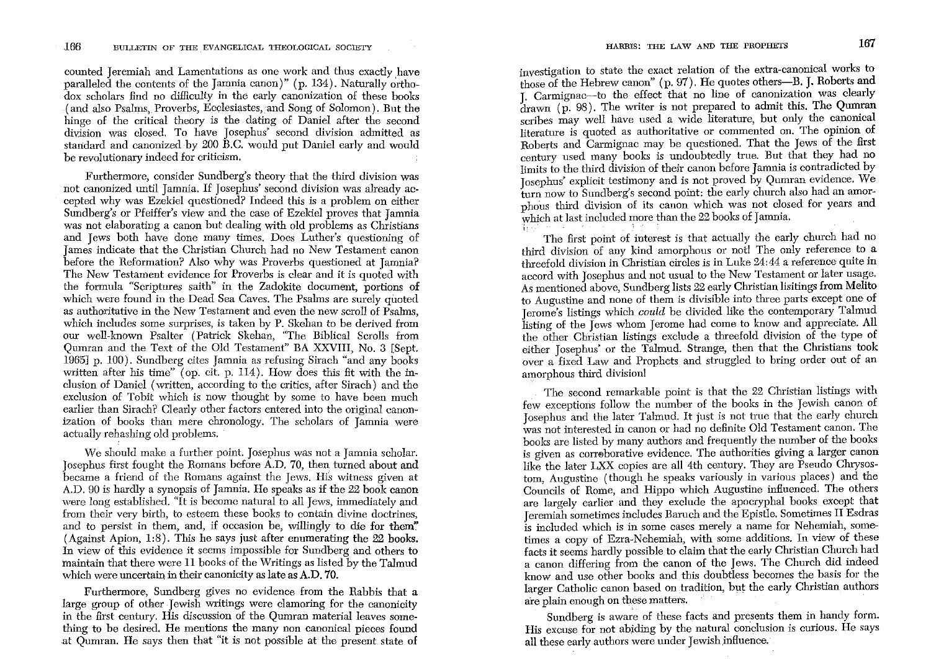counted Jeremiah and Lamentations as one work and thus exactly have paralleled the contents of the Jamnia canon)" (p. 134). Naturally orthodox scholars find no difficulty in the early canonization of these books (and also Psalms, Proverbs, Ecclesiastes,and Song of Solomon). But the hinge of the critical theory is the dating of Daniel after the second division was closed. To have Josephus' second division admitted as standard and canonized by 200 B.C. would put Daniel early and would **be revolutionary indeed for criticism.** 

Furthermore, consider Sundberg's theory that the third division was not canonized until Jamnia. If Josephus' second division was already accepted why was Ezekiel questioned? Indeed this is a problem on either Sundberg's or Pfeiffer's view and the case of Ezekiel proves that Jamnia was not elaborating a canon but dealing with old problems as Christians and Jews both have done many times. Does Luther's questioning of James indicate that the Christian Church had no New Testament canon before the Reformation? Also why was Proverbs questioned at Jamnia? The New Testament evidence for Proverbs is clear and it is quoted with the formula "Scriptures saith" in the Zadokite document, portions of which were found in the Dead Sea Caves. The Psalms are surely quoted **as authoritative in the New Testament and even the new scroll of Psalms,**  which includes some surprises, is taken by P. Skehan to be derived from our well-known Psalter (Patrick Skehan, "The Biblical Scrolls from Qumran and the Text of the Old Testament" BA XXVIII, No. 3 [Sept. 1965] p. 100). Sundberg cites Jamnia as refusing Sirach "and any books written after his time" (op. cit. p. 114). How does this fit with the inclusion of Daniel (written, according to the critics, after Sirach) and the exclusion of Tobit which is now thought by some to have been much earlier than Sirach? Clearly other factors entered into the original canonization of books than mere chronology. The scholars of Jamnia were actually rehashing old problems.

We should make a further point. Josephus was not a Jamnia scholar. Josephus first fought the Romans before A.D. 70, then huned about and became a friend of the Romans against the Jews. His witness given at A.D. 90 is hardly a synopsis of Jamnia. He speaks as if the 22 book canon were long established. "It is become natural to all Jews, immediately and **from their very birth, to esteem these books to contain divine doctrines,**  and to persist in them, and, if occasion be, willingly to die for them" (Against Apion, 1:8). This he says just after enumerating the 22 books. In view of this evidence it seems impossible for Sundberg and others to maintain that there were 11 books of the Writings as listed by the Talmud which were uncertain in their canonicity as late as A.D. 70.

Furthermore, Sundberg gives no evidence from the Rabbis that a large group of other Jewish writings were clamoring for the canonicity in the first century. His discussion of the Qumran material leaves something to be desired. He mentions the many non canonical pieces found at Qumran. He says then that "it is not possible at the present. state of **investigation to state the exact relation of the extra-canonical works to**  those of the Hebrew canon" (p. 97). He quotes others-B. J. Roberts and J. Carmignac-to the effect that no line of canonization was clearly  $\frac{1}{2}$  drawn (p. 98). The writer is not prepared to admit this. The Qumran scribes may well have used a wide literature, but only the canonical **literature is quoted as authoritative or commented on. The opinion of**  Roberts and Carmignac may be questioned. That the Jews of the first century used many books is undoubtedly true. But that they had no limits to the third division of their canon before Jamnia is contradicted by Josephus' explicit testimony and is not proved by Qumran evidence. We tum now to Sundberg's second point: the early church also had an amorpho'us third division of its canon which was not closed for years and which at last included more than the 22 books of Jamnia.

The first point of interest is that actually the early church had no third division of any kind amorphous or not! The only reference to a threefold division in Christian circles is in Luke 24:44 a reference quite in accord with Josephus and not usual to the New Testament or later usage. As mentioned above, Sundberg lists 22 early Christian lisitings from Melito to Augustine and none of them is divisible into three parts except one of Jerome's listings which *could* be divided like the contemporary Talmud listing of the Jews whom Jerome had come to know and appreciate. All the other Christian listings exclude a threefold division of the type of either Josephus'or the Talmud. Strange, then that the Christians took over a fixed Law and Prophets and struggled to bring order out of an amorphous third division!

The second remarkable point is that the 22 Christian listings with few exceptions follow the number of the books in the Jewish canon of Josephus and the later Talmud. It just is not true that the early church was not interested in canon or had no definite Old Testament canon. The books are listed by many authors and frequently the nmnber of the books is given as corroborative evidence. The authorities giving a larger canon like the later LXX copies are all 4th century. They are Pseudo Chrysostom, Augustine (though he speaks variously in various places) and the Councils of Rome, and Hippo which Augustine infiuenced. The others are largely earlier and they exclude the apocryphal books except that Jeremiah sometimes includes Baruch and the Epistle. Sometimes II Esdras is included which is in some cases merely a name for Nehemiah, sometimes a copy of Ezra-Nehemiah, with some additions. In *view* of these facts it seems hardly possible to claim that the early Christian Church had a canon differing from the canon of the Jews. The Church did indeed know and use other books and this doubtless becomes the basis for the larger Catholic canon based on tradition, but the early Christian authors are plain enough on these matters.

Sundberg is aware of these facts and presents them in handy form. **His excuse for not abiding by the natural conclusion is curious. He says**  all these early authors were under Jewish infiuence.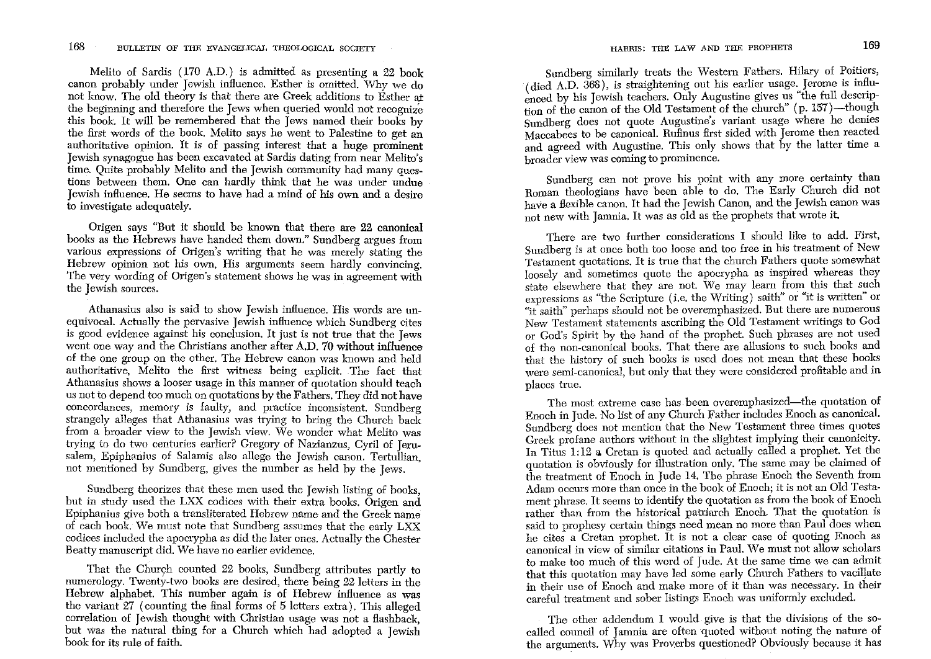Melito of Sardis (170 A.D.) is admitted as presenting a 22 book canon probably under Jewish influence. Esther is omitted. Why we do not know. The old theory is that there are Greek additions to Esther at the beginning and therefore the Jews when queried would not recognize this book. It will be remembered that the Jews named their books by the first words of the book. Melito says he went to Palestine to get an authoritative opinion. It is of passing interest that a huge prominent Jewish synagogue has been excavated at Sardis dating from near Melito's time. Quite probably Melito and the Jewish community had many questions between them. One can hardly think that he was under undue Jewish influence. He seems to have had a mind of his own and a desire to investigate adequately.

Origen says "But it should be known that there are 22 canonical books as the Hebrews have handed them down." Sundberg argues from various expressions of Origen's writing that he was merely stating the Hebrew opinion not his own. His arguments seem hardly convincing. The very wording of Origen's statement shows he was in agreement with the Jewish sources.

**Athanasius also is said to show Jewish influence. His words are un**equivocal. Actually the pervasive Jewish influence which Sundberg cites is good evidence against his conclusion. It just is not true that the Jews went one way and the Christians another after A.D. 70 without influence of the one group on the other. The Hebrew canon was known and held authoritative, Melito the first witness being explicit. The fact that **Athanasius shows a looser usage in this manner of quotation should teach**  us not to depend too much on quotations by the Fathers. They did not have **concordances, memory is faulty, and practice inconsistent. Sundberg**  strangely alleges that Athanasius was trying to bring the Church back from a broader view to the Jewish view. We wonder what Melito was trying to do two centuries earlier? Gregory of Nazianzus, Cyril of Jerusalem, Epiphanius of Salamis also allege the Jewish canon. Tertullian, not mentioned by Sundberg, gives the number as held by the Jews.

Sundberg theorizes that these men used the Jewish listing of books, but in study used the LXX codices with their extra books. Origen and Epiphanius give both a transliterated Hebrew name and the Greek name of each book. We must note that Sundberg assumes that the early LXX codices included the apocrypha as did the later ones. Actually the Chester Beatty manuscript did. We have no earlier evidence.

That the Church counted 22 books, Sundberg attributes partly to numerology. Twenty-two books are desired, there being 22 letters in the Hebrew alphabet. This number again is of Hebrew influence as was the variant  $27$  (counting the final forms of 5 letters extra). This alleged correlation of Jewish thought with Christian usage was not a flashback, but was the natural thing for a Church which had adopted a Jewish book for its rule of faith.

Sundberg similarly treats the Western Fathers. Hilary of Poitiers, (died A.D. 368), is straightening out his earlier usage. Jerome is influenced by his Jewish teachers. Only Augustine gives us "the full description of the canon of the Old Testament of the church" (p. 157)-though Sundberg does not quote Augustine's variant usage where he denies Maccabees to be canonical. Rufinus first sided with Jerome then reacted and agreed with Augustine. This only shows that by the latter time a **broader view was coming to prominence.** 

Sundberg can not prove his point with any more certainty than Roman theologians have been able to do. The Early Church did not have a flexible canon. It had the Jewish Canon, and the Jewish canon was not new with Jamnia. It was as old as the prophets that wrote it.

There are two further considerations I should like to add. First, Sundberg is at once both too loose and too free in his treatment of New Testament quotations. It is true that the church Fathers quote somewhat loosely and sometimes quote the apocrypha as inspired whereas they state elsewhere that they are not. We may learn from this that such expressions as "the Scripture (i.e. the Writing) saith" or "it is written" or "it saith" perhaps should not be overemphasized. But there are numerous New Testament statements ascribing the Old Testament writings to God or God's Spirit by the hand of the prophet. Such phrases are not used of the non-canonical books. That there are allusions to such books and that the history of such books is used does not mean that these books were semi-canonical, but only that they were considered profitable and in places true.

The most extreme case has been overemphasized-the quotation of Enoch in Jude. No list of any Church Father includes Enoch as canonical. Sundberg does not mention that the New Testament three times quotes Greek profane authors without in the slightest implying their canonicity. In Titus 1:12 a Cretan is quoted and actually called a prophet. Yet the quotation is obviously for illustration only. The same may be claimed of the treatment of Enoch in Jude 14. The phrase Enoch the Seventh from Adam occurs more than once in the book of Enoch; it is not an Old Testament phrase. It seems to identify the quotation as from the book of Enoch rather than from the historical patriarch Enoch. That the quotation is said to prophesy certain things need mean no more than Paul does when he cites a Cretan prophet. It is not a clear case of quoting Enoch as **canonical in view of similar citations in Paul. We must not allow scholars**  to make too much of this word of Jude. At the same time we can admit that this quotation may have led some early Church Fathers to vacillate in their use of Enoch and make more of it than was necessary. In their careful treatment and sober listings Enoch was uniformly excluded.

The other addendum I would give is that the divisions of the socalled council of Jamnia are often quoted without noting the nature of the arguments. Why was Proverbs questioned? Obviously because it has